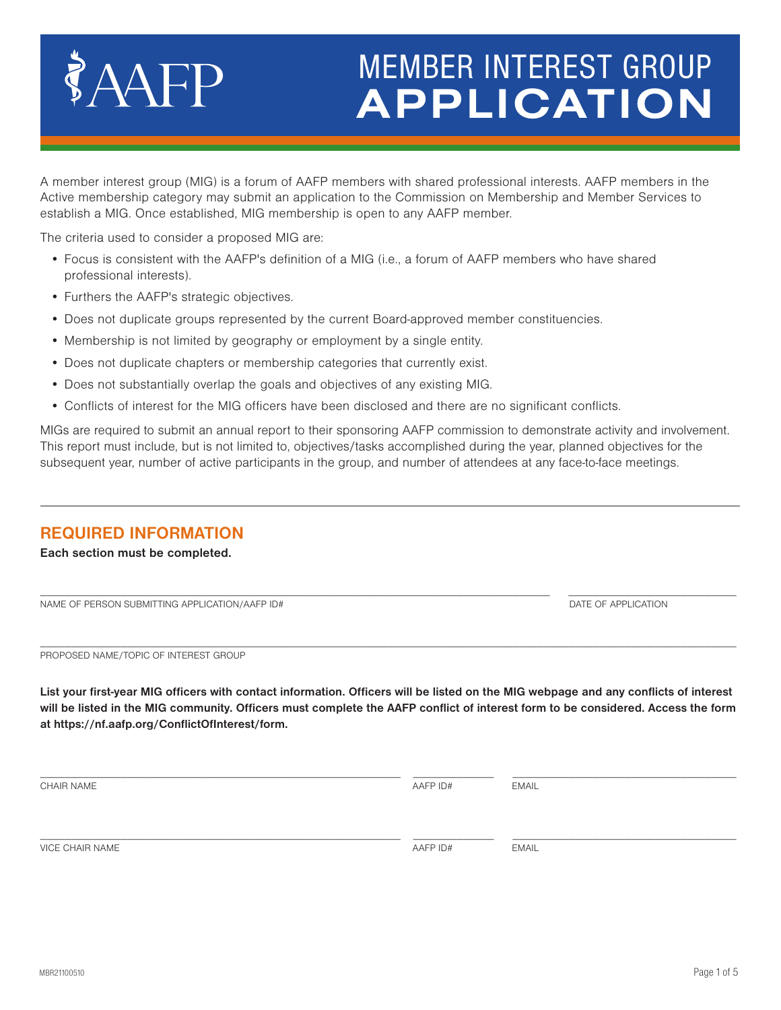# **APPLICATION** MEMBER INTEREST GROUP

A member interest group (MIG) is a forum of AAFP members with shared professional interests. AAFP members in the Active membership category may submit an application to the Commission on Membership and Member Services to establish a MIG. Once established, MIG membership is open to any AAFP member.

The criteria used to consider a proposed MIG are:

AAFP

- Focus is consistent with the AAFP's definition of a MIG (i.e., a forum of AAFP members who have shared professional interests).
- Furthers the AAFP's strategic objectives.
- Does not duplicate groups represented by the current Board-approved member constituencies.
- Membership is not limited by geography or employment by a single entity.
- Does not duplicate chapters or membership categories that currently exist.
- Does not substantially overlap the goals and objectives of any existing MIG.
- Conflicts of interest for the MIG officers have been disclosed and there are no significant conflicts.

MIGs are required to submit an annual report to their sponsoring AAFP commission to demonstrate activity and involvement. This report must include, but is not limited to, objectives/tasks accomplished during the year, planned objectives for the subsequent year, number of active participants in the group, and number of attendees at any face-to-face meetings.

### **REQUIRED INFORMATION**

**Each section must be completed.**

NAME OF PERSON SUBMITTING APPLICATION/AAFP ID# DATE OF APPLICATION ASSAULT A DATE OF APPLICATION

 $\mathcal{L}_\mathcal{L} = \{ \mathcal{L}_\mathcal{L} = \{ \mathcal{L}_\mathcal{L} = \{ \mathcal{L}_\mathcal{L} = \{ \mathcal{L}_\mathcal{L} = \{ \mathcal{L}_\mathcal{L} = \{ \mathcal{L}_\mathcal{L} = \{ \mathcal{L}_\mathcal{L} = \{ \mathcal{L}_\mathcal{L} = \{ \mathcal{L}_\mathcal{L} = \{ \mathcal{L}_\mathcal{L} = \{ \mathcal{L}_\mathcal{L} = \{ \mathcal{L}_\mathcal{L} = \{ \mathcal{L}_\mathcal{L} = \{ \mathcal{L}_\mathcal{$ 

\_\_\_\_\_\_\_\_\_\_\_\_\_\_\_\_\_\_\_\_\_\_\_\_\_\_\_\_\_\_\_\_\_\_\_\_\_\_\_\_\_\_\_\_\_\_\_\_\_\_\_\_\_\_\_\_\_\_\_\_\_\_\_\_\_\_\_\_\_\_\_\_\_\_\_\_\_\_\_\_\_\_\_\_\_\_\_\_\_\_\_\_\_\_\_\_\_\_\_\_\_\_\_\_\_\_\_\_\_\_\_\_ PROPOSED NAME/TOPIC OF INTEREST GROUP

**List your first-year MIG officers with contact information. Officers will be listed on the MIG webpage and any conflicts of interest will be listed in the MIG community. Officers must complete the AAFP conflict of interest form to be considered. Access the form at https://nf.aafp.org/ConflictOfInterest/form.**

CHAIR NAME EMAIL CHAIR CHAIR CHAIR CHAIR CHAIR CHAIR CHAIR CHAIR CHAIR CHAIR CHAIR CHAIR CHAIR CHAIR CHAIR CHA

\_\_\_\_\_\_\_\_\_\_\_\_\_\_\_\_\_\_\_\_\_\_\_\_\_\_\_\_\_\_\_\_\_\_\_\_\_\_\_\_\_\_\_\_\_\_\_\_\_\_\_\_\_\_\_\_\_\_ \_\_\_\_\_\_\_\_\_\_\_\_\_ \_\_\_\_\_\_\_\_\_\_\_\_\_\_\_\_\_\_\_\_\_\_\_\_\_\_\_\_\_\_\_\_\_\_\_\_

VICE CHAIR NAME **AAFP ID#** EMAIL CHAIR NAME

\_\_\_\_\_\_\_\_\_\_\_\_\_\_\_\_\_\_\_\_\_\_\_\_\_\_\_\_\_\_\_\_\_\_\_\_\_\_\_\_\_\_\_\_\_\_\_\_\_\_\_\_\_\_\_\_\_\_ \_\_\_\_\_\_\_\_\_\_\_\_\_ \_\_\_\_\_\_\_\_\_\_\_\_\_\_\_\_\_\_\_\_\_\_\_\_\_\_\_\_\_\_\_\_\_\_\_\_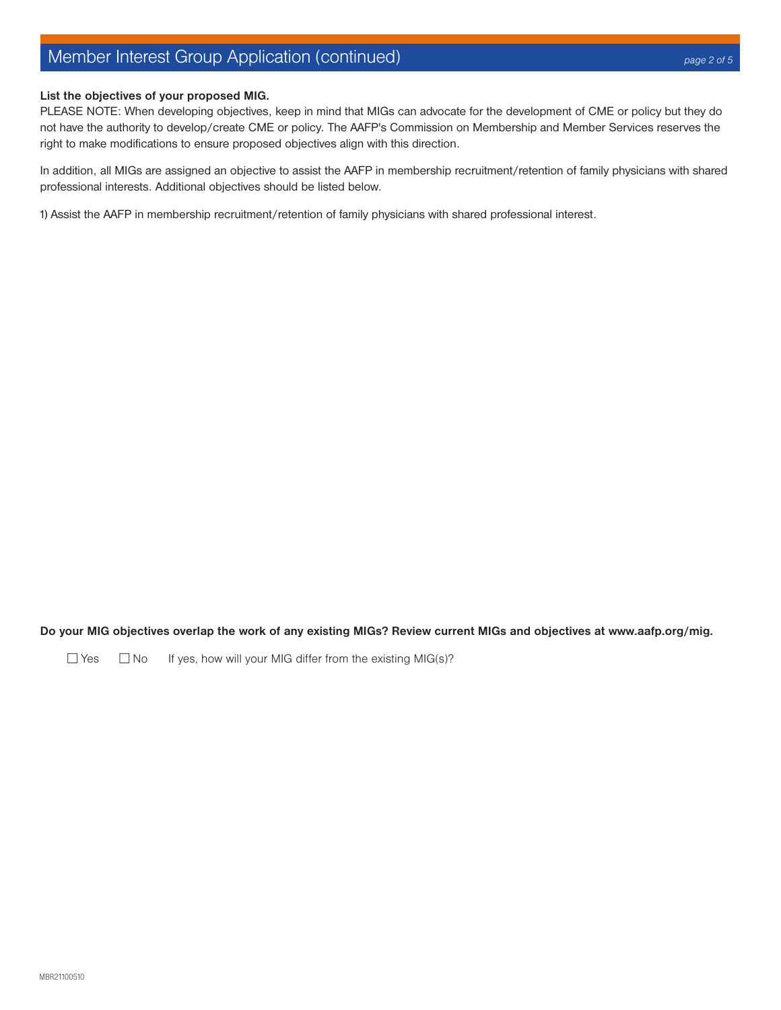# Member Interest Group Application (continued)

#### **List the objectives of your proposed MIG.**

PLEASE NOTE: When developing objectives, keep in mind that MIGs can advocate for the development of CME or policy but they do not have the authority to develop/create CME or policy. The AAFP's Commission on Membership and Member Services reserves the right to make modifications to ensure proposed objectives align with this direction.

In addition, all MIGs are assigned an objective to assist the AAFP in membership recruitment/retention of family physicians with shared professional interests. Additional objectives should be listed below.

1) Assist the AAFP in membership recruitment/retention of family physicians with shared professional interest.

**Do your MIG objectives overlap the work of any existing MIGs? Review current MIGs and objectives at www.aafp.org/mig.** 

□ Yes □ No If yes, how will your MIG differ from the existing MIG(s)?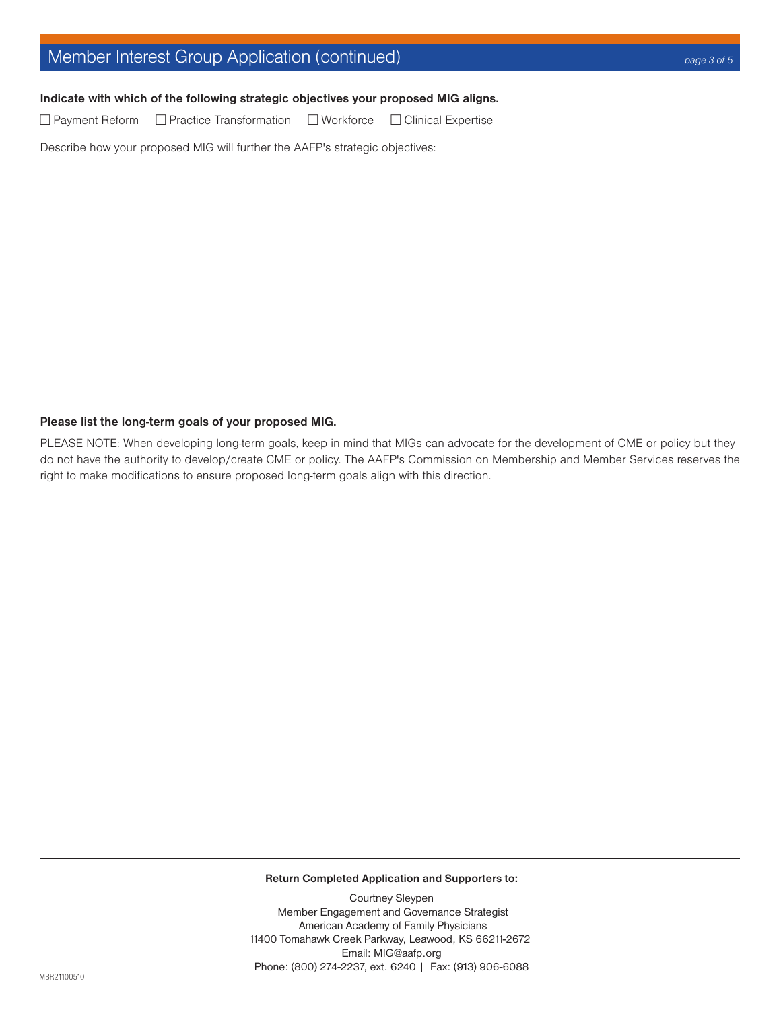# Member Interest Group Application (continued) *page 3 of 5*

#### **Indicate with which of the following strategic objectives your proposed MIG aligns.**

 $\Box$  Payment Reform  $\Box$  Practice Transformation  $\Box$  Workforce  $\Box$  Clinical Expertise

Describe how your proposed MIG will further the AAFP's strategic objectives:

#### **Please list the long-term goals of your proposed MIG.**

PLEASE NOTE: When developing long-term goals, keep in mind that MIGs can advocate for the development of CME or policy but they do not have the authority to develop/create CME or policy. The AAFP's Commission on Membership and Member Services reserves the right to make modifications to ensure proposed long-term goals align with this direction.

**Return Completed Application and Supporters to:**

Courtney Sleypen Member Engagement and Governance Strategist American Academy of Family Physicians 11400 Tomahawk Creek Parkway, Leawood, KS 66211-2672 Email: MIG@aafp.org Phone: (800) 274-2237, ext. 6240 | Fax: (913) 906-6088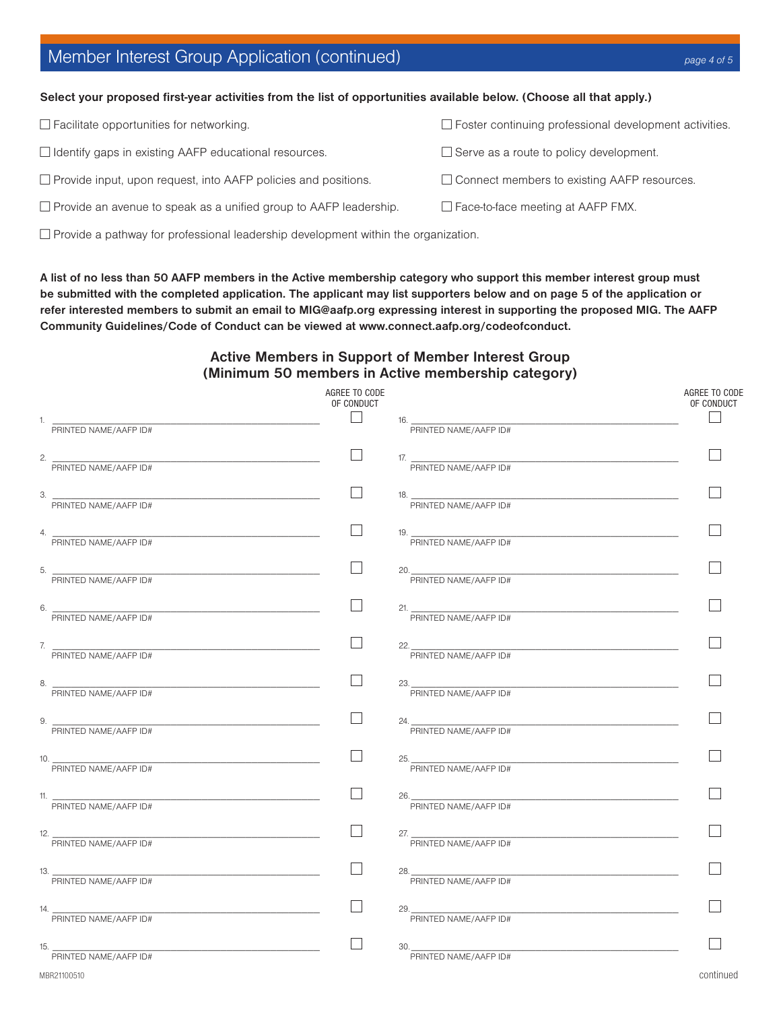# Member Interest Group Application (continued) *page 4 of 5*

#### **Select your proposed first-year activities from the list of opportunities available below. (Choose all that apply.)**

| $\Box$ Facilitate opportunities for networking.                          | $\Box$ Foster continuing professional development activities. |
|--------------------------------------------------------------------------|---------------------------------------------------------------|
| □ Identify gaps in existing AAFP educational resources.                  | $\Box$ Serve as a route to policy development.                |
| $\Box$ Provide input, upon request, into AAFP policies and positions.    | $\Box$ Connect members to existing AAFP resources.            |
| $\Box$ Provide an avenue to speak as a unified group to AAFP leadership. | $\Box$ Face-to-face meeting at AAFP FMX.                      |
|                                                                          |                                                               |

 $\Box$  Provide a pathway for professional leadership development within the organization.

**A list of no less than 50 AAFP members in the Active membership category who support this member interest group must be submitted with the completed application. The applicant may list supporters below and on page 5 of the application or refer interested members to submit an email to MIG@aafp.org expressing interest in supporting the proposed MIG. The AAFP Community Guidelines/Code of Conduct can be viewed at www.connect.aafp.org/codeofconduct.**

#### **Active Members in Support of Member Interest Group (Minimum 50 members in Active membership category)**

|                                             | AGREE TO CODE<br>OF CONDUCT |                                              | AGREE TO CODE<br>OF CONDUCT |
|---------------------------------------------|-----------------------------|----------------------------------------------|-----------------------------|
| 1.<br>PRINTED NAME/AAFP ID#                 |                             | $16. -$<br>PRINTED NAME/AAFP ID#             |                             |
| 2. $\qquad \qquad$<br>PRINTED NAME/AAFP ID# | П                           | 17. PRINTED NAME/AAFP ID#                    |                             |
| 3. PRINTED NAME/AAFP ID#                    | $\mathsf{L}$                | 18. PRINTED NAME/AAFP ID#                    |                             |
| 4. PRINTED NAME/AAFP ID#                    |                             | 19. $\frac{1}{\text{PRINIED NAME/AAFF ID#}}$ |                             |
| 5.<br>PRINTED NAME/AAFP ID#                 |                             | 20.<br>PRINTED NAME/AAFP ID#                 |                             |
| 6. PRINTED NAME/AAFP ID#                    |                             | 21. PRINTED NAME/AAFP ID#                    |                             |
| 7. PRINTED NAME/AAFP ID#                    |                             | 22.<br>PRINTED NAME/AAFP ID#                 |                             |
| 8.<br>PRINTED NAME/AAFP ID#                 |                             | 23.<br>PRINTED NAME/AAFP ID#                 |                             |
| 9. PRINTED NAME/AAFP ID#                    | $\Box$                      | 24. PRINTED NAME/AAFP ID#                    |                             |
| 10.<br>PRINTED NAME/AAFP ID#                |                             | 25.<br>PRINTED NAME/AAFP ID#                 |                             |
| 11. PRINTED NAME/AAFP ID#                   |                             | 26.<br>PRINTED NAME/AAFP ID#                 |                             |
| 12. PRINTED NAME/AAFP ID#                   |                             | 27. PRINTED NAME/AAFP ID#                    |                             |
| 13. PRINTED NAME/AAFP ID#                   |                             | 28.<br>PRINTED NAME/AAFP ID#                 |                             |
| 14.<br>PRINTED NAME/AAFP ID#                |                             | 29.<br>PRINTED NAME/AAFP ID#                 |                             |
| 15.<br>PRINTED NAME/AAFP ID#                |                             | 30.<br>PRINTED NAME/AAFP ID#                 |                             |